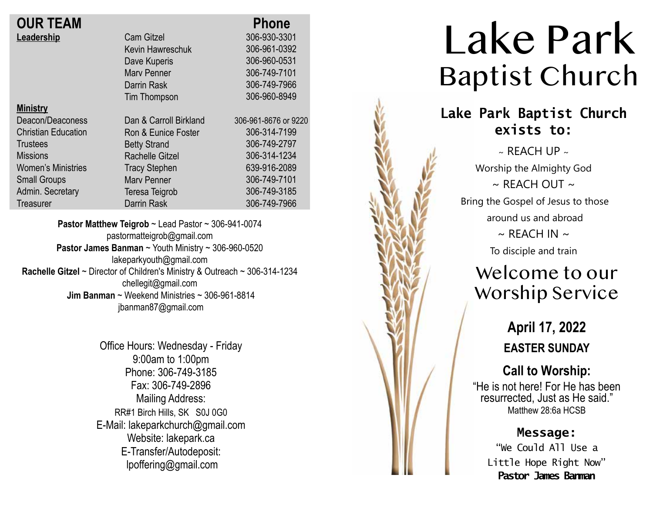| <b>OUR TEAM</b>            |                        | <b>Phone</b>         |
|----------------------------|------------------------|----------------------|
| Leadership                 | <b>Cam Gitzel</b>      | 306-930-3301         |
|                            | Kevin Hawreschuk       | 306-961-0392         |
|                            | Dave Kuperis           | 306-960-0531         |
|                            | <b>Mary Penner</b>     | 306-749-7101         |
|                            | Darrin Rask            | 306-749-7966         |
|                            | Tim Thompson           | 306-960-8949         |
| <b>Ministry</b>            |                        |                      |
| Deacon/Deaconess           | Dan & Carroll Birkland | 306-961-8676 or 9220 |
| <b>Christian Education</b> | Ron & Eunice Foster    | 306-314-7199         |
| <b>Trustees</b>            | <b>Betty Strand</b>    | 306-749-2797         |
| <b>Missions</b>            | <b>Rachelle Gitzel</b> | 306-314-1234         |
| <b>Women's Ministries</b>  | <b>Tracy Stephen</b>   | 639-916-2089         |
| <b>Small Groups</b>        | <b>Mary Penner</b>     | 306-749-7101         |
| Admin. Secretary           | Teresa Teigrob         | 306-749-3185         |
| Treasurer                  | Darrin Rask            | 306-749-7966         |
|                            |                        |                      |

**Pastor Matthew Teigrob** ~ Lead Pastor ~ 306-941-0074 pastormatteigrob@gmail.com **Pastor James Banman** ~ Youth Ministry ~ 306-960-0520 lakeparkyouth@gmail.com **Rachelle Gitzel** ~ Director of Children's Ministry & Outreach ~ 306-314-1234 chellegit@gmail.com  **Jim Banman** ~ Weekend Ministries ~ 306-961-8814 jbanman87@gmail.com

> Office Hours: Wednesday - Friday 9:00am to 1:00pm Phone: 306-749-3185 Fax: 306-749-2896 Mailing Address: RR#1 Birch Hills, SK S0J 0G0 E-Mail: lakeparkchurch@gmail.com Website: lakepark.ca E-Transfer/Autodeposit: lpoffering@gmail.com